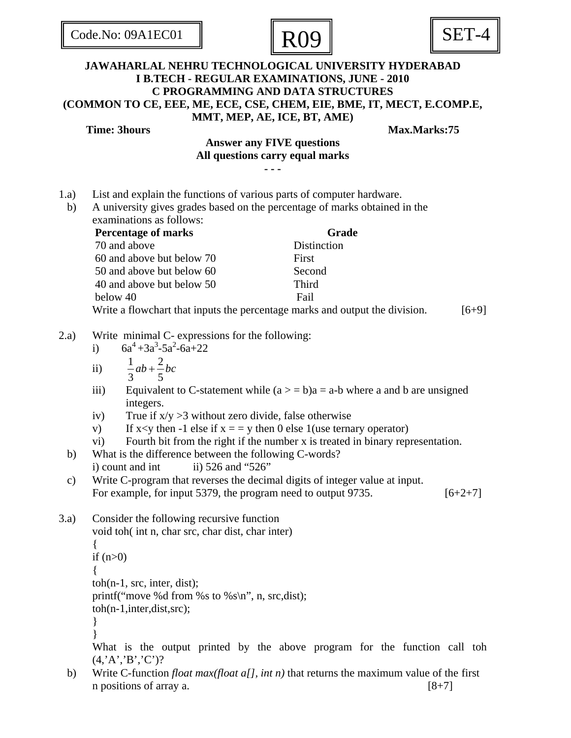| Code.No: 09A1EC01 |  |  |  |
|-------------------|--|--|--|
|                   |  |  |  |





## **JAWAHARLAL NEHRU TECHNOLOGICAL UNIVERSITY HYDERABAD I B.TECH - REGULAR EXAMINATIONS, JUNE - 2010 C PROGRAMMING AND DATA STRUCTURES (COMMON TO CE, EEE, ME, ECE, CSE, CHEM, EIE, BME, IT, MECT, E.COMP.E, MMT, MEP, AE, ICE, BT, AME)**

**Time: 3hours Max.Marks:75** 

## **Answer any FIVE questions All questions carry equal marks**

- **-**
- 1.a) List and explain the functions of various parts of computer hardware.
- b) A university gives grades based on the percentage of marks obtained in the examinations as follows:

| <b>Percentage of marks</b>                                                  | <b>Grade</b> |         |
|-----------------------------------------------------------------------------|--------------|---------|
| 70 and above                                                                | Distinction  |         |
| 60 and above but below 70                                                   | First        |         |
| 50 and above but below 60                                                   | Second       |         |
| 40 and above but below 50                                                   | Third        |         |
| below 40                                                                    | Fail         |         |
| Write a flowchart that inputs the percentage marks and output the division. |              | $[6+9]$ |

- 2.a) Write minimal C- expressions for the following:
	- i)  $6a^4 + 3a^3 5a^2 6a + 22$
	- ii)  $\frac{1}{2} ab + \frac{2}{3}$  $ab + \frac{2}{b}bc$
	- 3 5
	- iii) Equivalent to C-statement while  $(a > = b)a = a-b$  where a and b are unsigned integers.
	- iv) True if  $x/y > 3$  without zero divide, false otherwise
	- v) If  $x \leq y$  then  $-1$  else if  $x = y$  then 0 else 1(use ternary operator)
	- vi) Fourth bit from the right if the number x is treated in binary representation.
- b) What is the difference between the following C-words? i) count and int ii)  $526$  and " $526$ "
- c) Write C-program that reverses the decimal digits of integer value at input. For example, for input 5379, the program need to output 9735.  $[6+2+7]$
- 3.a) Consider the following recursive function

```
 void toh( int n, char src, char dist, char inter) 
 { 
if (n>0) { 
 toh(n-1, src, inter, dist); 
printf("move %d from %s to %s\n", n, src,dist);
 toh(n-1,inter,dist,src); 
 } 
 }
```
What is the output printed by the above program for the function call toh  $(4, A', B', C')$ ?

 b) Write C-function *float max(float a[], int n)* that returns the maximum value of the first n positions of array a.  $[8+7]$